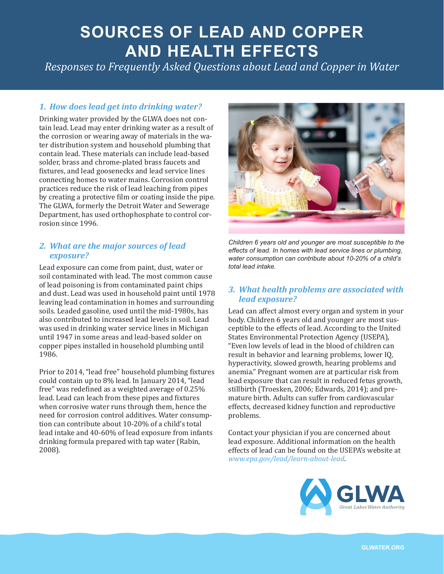# **SOURCES OF LEAD AND COPPER AND HEALTH EFFECTS**

*Responses to Frequently Asked Questions about Lead and Copper in Water*

## *1. How does lead get into drinking water?*

Drinking water provided by the GLWA does not contain lead. Lead may enter drinking water as a result of the corrosion or wearing away of materials in the water distribution system and household plumbing that contain lead. These materials can include lead-based solder, brass and chrome-plated brass faucets and fixtures, and lead goosenecks and lead service lines connecting homes to water mains. Corrosion control practices reduce the risk of lead leaching from pipes by creating a protective film or coating inside the pipe. The GLWA, formerly the Detroit Water and Sewerage Department, has used orthophosphate to control corrosion since 1996.

#### *2. What are the major sources of lead exposure?*

Lead exposure can come from paint, dust, water or soil contaminated with lead. The most common cause of lead poisoning is from contaminated paint chips and dust. Lead was used in household paint until 1978 leaving lead contamination in homes and surrounding soils. Leaded gasoline, used until the mid-1980s, has also contributed to increased lead levels in soil. Lead was used in drinking water service lines in Michigan until 1947 in some areas and lead-based solder on copper pipes installed in household plumbing until 1986.

Prior to 2014, "lead free" household plumbing fixtures could contain up to 8% lead. In January 2014, "lead free" was redefined as a weighted average of 0.25% lead. Lead can leach from these pipes and fixtures when corrosive water runs through them, hence the need for corrosion control additives. Water consumption can contribute about 10-20% of a child's total lead intake and 40-60% of lead exposure from infants drinking formula prepared with tap water (Rabin, 2008).



*Children 6 years old and younger are most susceptible to the effects of lead. In homes with lead service lines or plumbing, water consumption can contribute about 10-20% of a child's total lead intake.*

## *3. What health problems are associated with lead exposure?*

Lead can affect almost every organ and system in your body. Children 6 years old and younger are most susceptible to the effects of lead. According to the United States Environmental Protection Agency (USEPA), "Even low levels of lead in the blood of children can result in behavior and learning problems, lower IQ, hyperactivity, slowed growth, hearing problems and anemia." Pregnant women are at particular risk from lead exposure that can result in reduced fetus growth, stillbirth (Troesken, 2006; Edwards, 2014); and premature birth. Adults can suffer from cardiovascular effects, decreased kidney function and reproductive problems.

Contact your physician if you are concerned about lead exposure. Additional information on the health effects of lead can be found on the USEPA's website at *[www.epa.gov/lead/learn-about-lead](https://www.epa.gov/lead/learn-about-lead)*.